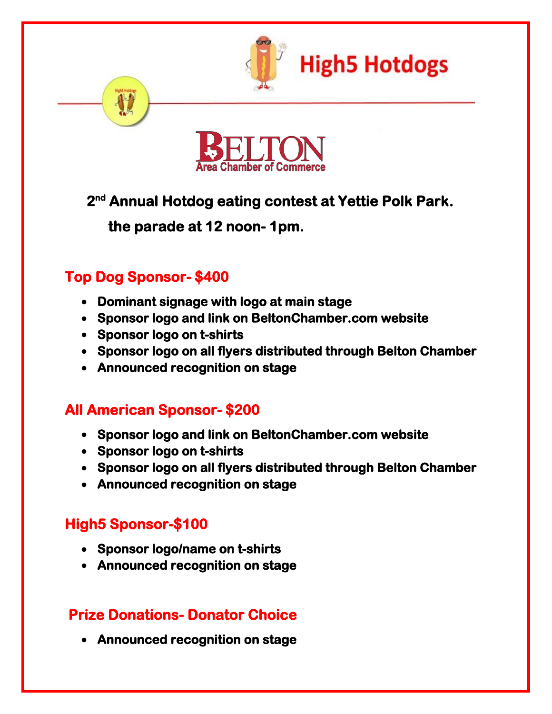



### **2 nd Annual Hotdog eating contest at Yettie Polk Park.**

 **the parade at 12 noon- 1pm.** 

## **Top Dog Sponsor- \$400**

- **Dominant signage with logo at main stage**
- **Sponsor logo and link on BeltonChamber.com website**
- **Sponsor logo on t-shirts**
- **Sponsor logo on all flyers distributed through Belton Chamber**
- **Announced recognition on stage**

## **All American Sponsor- \$200**

- **Sponsor logo and link on BeltonChamber.com website**
- **Sponsor logo on t-shirts**
- **Sponsor logo on all flyers distributed through Belton Chamber**
- **Announced recognition on stage**

# **High5 Sponsor-\$100**

- **Sponsor logo/name on t-shirts**
- **Announced recognition on stage**

## **Prize Donations- Donator Choice**

**Announced recognition on stage**